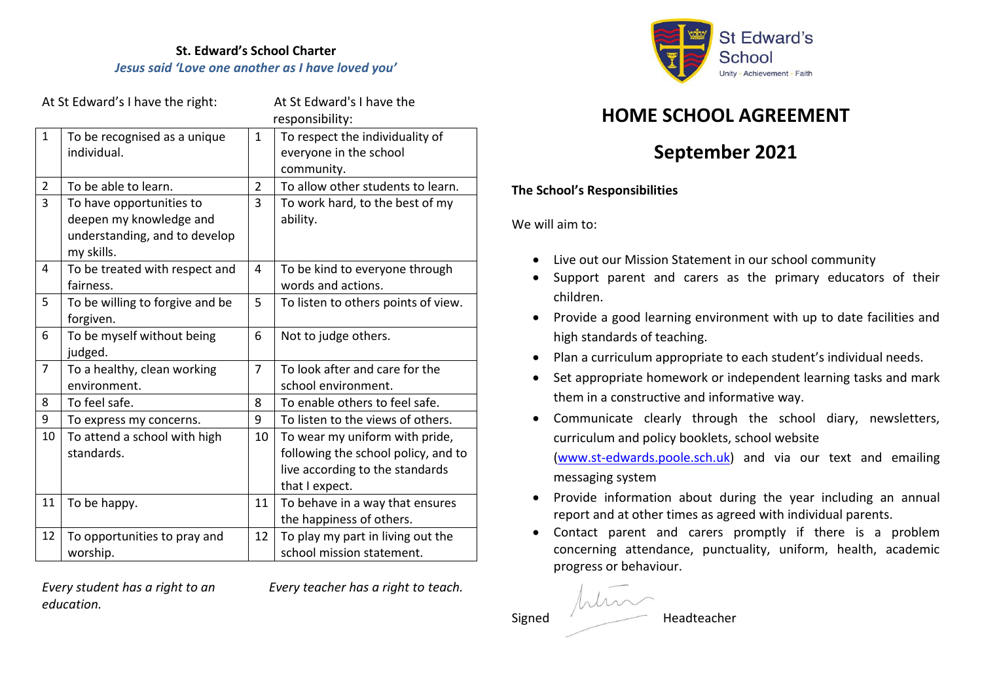**St. Edward's School Charter** *Jesus said 'Love one another as I have loved you'* 

| At St Edward's I have the right: |                                                                        |                | At St Edward's I have the<br>responsibility:                            |
|----------------------------------|------------------------------------------------------------------------|----------------|-------------------------------------------------------------------------|
| $\mathbf{1}$                     | To be recognised as a unique<br>individual.                            | $\mathbf{1}$   | To respect the individuality of<br>everyone in the school<br>community. |
| 2                                | To be able to learn.                                                   | $\overline{2}$ | To allow other students to learn.                                       |
| 3                                | To have opportunities to                                               | 3              | To work hard, to the best of my                                         |
|                                  | deepen my knowledge and<br>understanding, and to develop<br>my skills. |                | ability.                                                                |
| 4                                | To be treated with respect and<br>fairness.                            | 4              | To be kind to everyone through<br>words and actions.                    |
| 5                                | To be willing to forgive and be<br>forgiven.                           | 5              | To listen to others points of view.                                     |
| 6                                | To be myself without being<br>judged.                                  | 6              | Not to judge others.                                                    |
| $\overline{7}$                   | To a healthy, clean working                                            | $\overline{7}$ | To look after and care for the                                          |
|                                  | environment.                                                           |                | school environment.                                                     |
| 8                                | To feel safe.                                                          | 8              | To enable others to feel safe.                                          |
| 9                                | To express my concerns.                                                | 9              | To listen to the views of others.                                       |
| 10                               | To attend a school with high                                           | 10             | To wear my uniform with pride,                                          |
|                                  | standards.                                                             |                | following the school policy, and to                                     |
|                                  |                                                                        |                | live according to the standards                                         |
|                                  |                                                                        |                | that I expect.                                                          |
| 11                               | To be happy.                                                           | 11             | To behave in a way that ensures                                         |
|                                  |                                                                        |                | the happiness of others.                                                |
| 12                               | To opportunities to pray and                                           | 12             | To play my part in living out the                                       |
|                                  | worship.                                                               |                | school mission statement.                                               |

*education.*

*Every student has a right to an Every teacher has a right to teach.*



## **HOME SCHOOL AGREEMENT**

# **September 2021**

### **The School's Responsibilities**

We will aim to:

- Live out our Mission Statement in our school community
- Support parent and carers as the primary educators of their children.
- Provide a good learning environment with up to date facilities and high standards of teaching.
- Plan a curriculum appropriate to each student's individual needs.
- Set appropriate homework or independent learning tasks and mark them in a constructive and informative way.
- Communicate clearly through the school diary, newsletters, curriculum and policy booklets, school website

[\(www.st-edwards.poole.sch.uk\)](http://www.st-edwards.poole.sch.uk/) and via our text and emailing messaging system

- Provide information about during the year including an annual report and at other times as agreed with individual parents.
- Contact parent and carers promptly if there is a problem concerning attendance, punctuality, uniform, health, academic progress or behaviour.

him Signed Headteacher